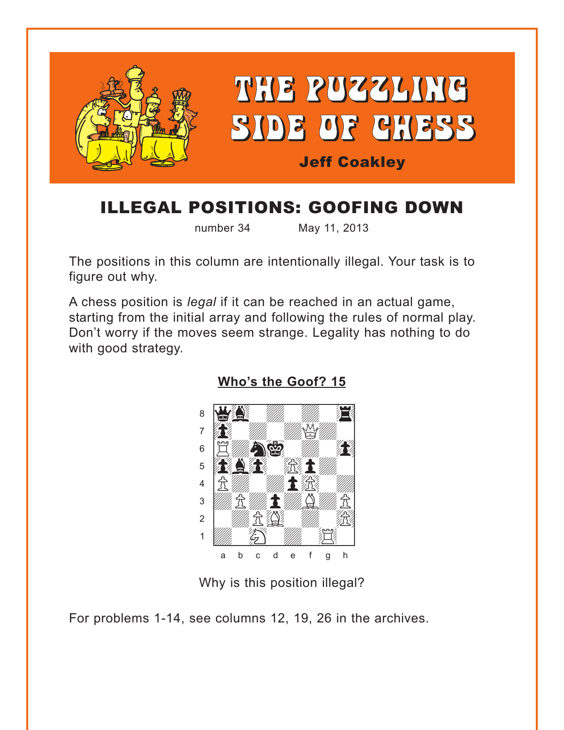<span id="page-0-0"></span>

## ILLEGAL POSITIONS: GOOFING DOWN

number 34 May 11, 2013

The positions in this column are intentionally illegal. Your task is to figure out why.

A chess position is *legal* if it can be reached in an actual game, starting from the initial array and following the rules of normal play. Don't worry if the moves seem strange. Legality has nothing to do with good strategy.



**[Who's the Goof? 15](#page-3-0)**

Why is this position illegal?

For problems 1-14, see columns 12, 19, 26 in the archives.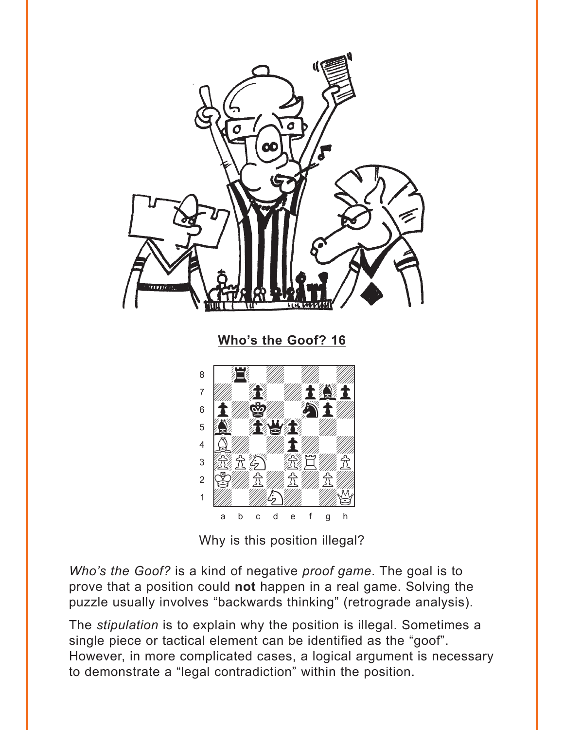<span id="page-1-0"></span>

Why is this position illegal?

Who's the Goof? is a kind of negative proof game. The goal is to prove that a position could not happen in a real game. Solving the puzzle usually involves "backwards thinking" (retrograde analysis).

The *stipulation* is to explain why the position is illegal. Sometimes a single piece or tactical element can be identified as the "goof". However, in more complicated cases, a logical argument is necessary to demonstrate a "legal contradiction" within the position.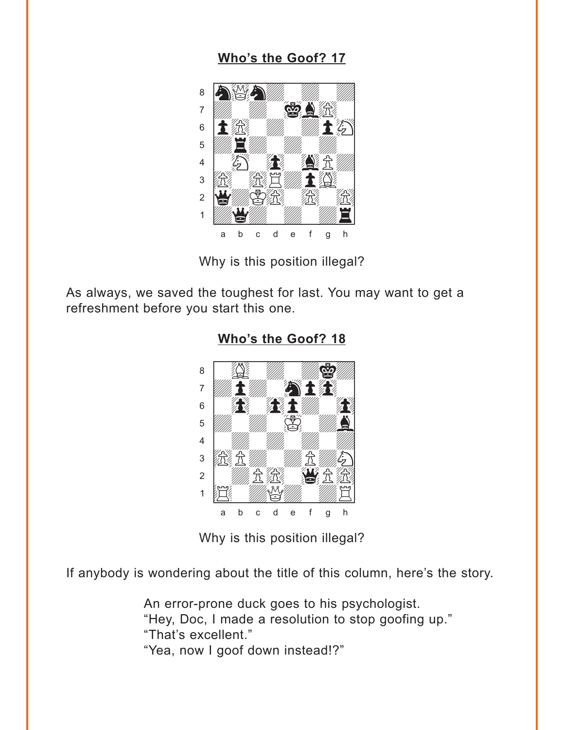## Who's the Goof? 17

<span id="page-2-0"></span>

Why is this position illegal?

As always, we saved the toughest for last. You may want to get a refreshment before you start this one.



Who's the Goof? 18

Why is this position illegal?

If anybody is wondering about the title of this column, here's the story.

An error-prone duck goes to his psychologist. "Hey, Doc, I made a resolution to stop goofing up." "That's excellent." "Yea, now I goof down instead!?"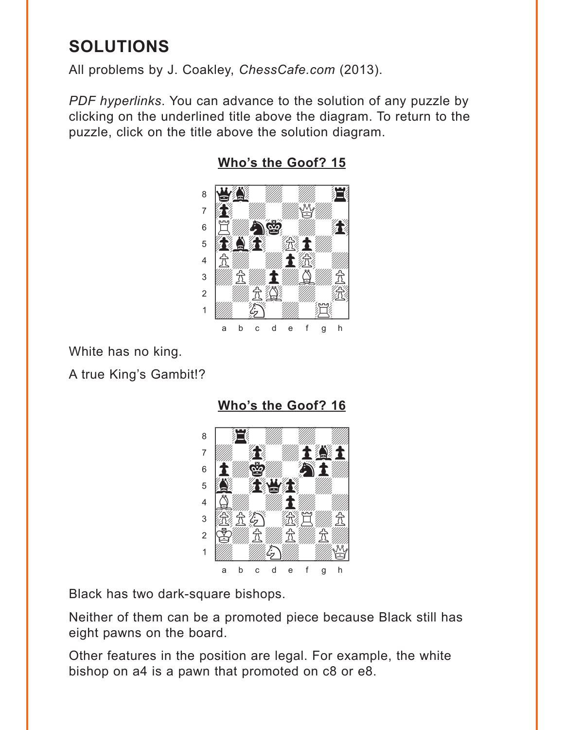## <span id="page-3-0"></span>**SOLUTIONS**

All problems by J. Coakley, ChessCafe.com (2013).

PDF hyperlinks. You can advance to the solution of any puzzle by clicking on the underlined title above the diagram. To return to the puzzle, click on the title above the solution diagram.



Who's the Goof? 15

White has no king.

A true King's Gambit!?

Who's the Goof? 16



Black has two dark-square bishops.

Neither of them can be a promoted piece because Black still has eight pawns on the board.

Other features in the position are legal. For example, the white bishop on a4 is a pawn that promoted on c8 or e8.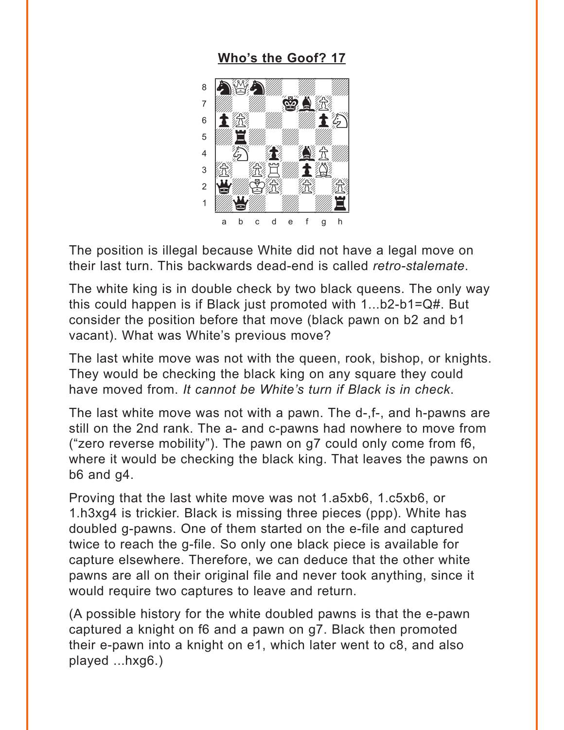## **[Who's the Goof? 17](#page-2-0)**

<span id="page-4-0"></span>

The position is illegal because White did not have a legal move on their last turn. This backwards dead-end is called *retro-stalemate*.

The white king is in double check by two black queens. The only way this could happen is if Black just promoted with 1...b2-b1=Q#. But consider the position before that move (black pawn on b2 and b1 vacant). What was White's previous move?

The last white move was not with the queen, rook, bishop, or knights. They would be checking the black king on any square they could have moved from. *It cannot be White's turn if Black is in check*.

The last white move was not with a pawn. The d-,f-, and h-pawns are still on the 2nd rank. The a- and c-pawns had nowhere to move from ("zero reverse mobility"). The pawn on g7 could only come from f6, where it would be checking the black king. That leaves the pawns on b6 and g4.

Proving that the last white move was not 1.a5xb6, 1.c5xb6, or 1.h3xg4 is trickier. Black is missing three pieces (ppp). White has doubled g-pawns. One of them started on the e-file and captured twice to reach the g-file. So only one black piece is available for capture elsewhere. Therefore, we can deduce that the other white pawns are all on their original file and never took anything, since it would require two captures to leave and return.

(A possible history for the white doubled pawns is that the e-pawn captured a knight on f6 and a pawn on g7. Black then promoted their e-pawn into a knight on e1, which later went to c8, and also played ...hxg6.)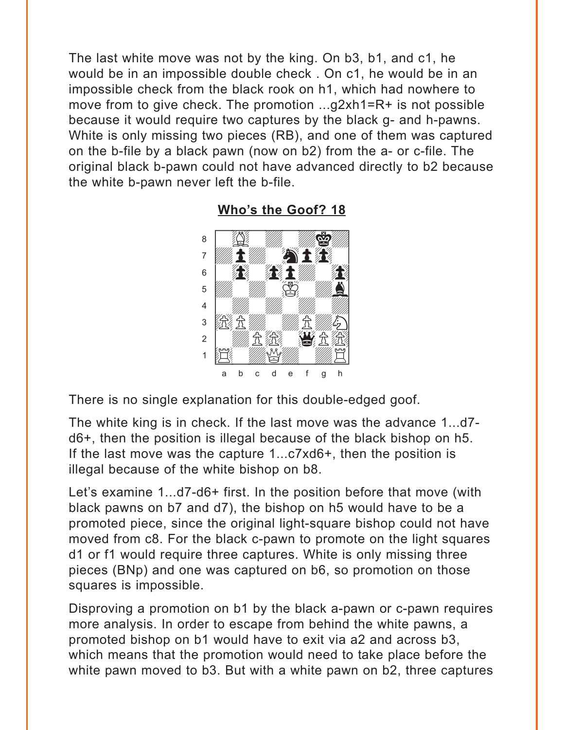<span id="page-5-0"></span>The last white move was not by the king. On b3, b1, and c1, he would be in an impossible double check . On c1, he would be in an impossible check from the black rook on h1, which had nowhere to move from to give check. The promotion ...g2xh1=R+ is not possible because it would require two captures by the black g- and h-pawns. White is only missing two pieces (RB), and one of them was captured on the b-file by a black pawn (now on b2) from the a- or c-file. The original black b-pawn could not have advanced directly to b2 because the white b-pawn never left the b-file.



**[Who's the Goof? 18](#page-2-0)**

There is no single explanation for this double-edged goof.

The white king is in check. If the last move was the advance 1...d7 d6+, then the position is illegal because of the black bishop on h5. If the last move was the capture 1...c7xd6+, then the position is illegal because of the white bishop on b8.

Let's examine 1...d7-d6+ first. In the position before that move (with black pawns on b7 and d7), the bishop on h5 would have to be a promoted piece, since the original light-square bishop could not have moved from c8. For the black c-pawn to promote on the light squares d1 or f1 would require three captures. White is only missing three pieces (BNp) and one was captured on b6, so promotion on those squares is impossible.

Disproving a promotion on b1 by the black a-pawn or c-pawn requires more analysis. In order to escape from behind the white pawns, a promoted bishop on b1 would have to exit via a2 and across b3, which means that the promotion would need to take place before the white pawn moved to b3. But with a white pawn on b2, three captures